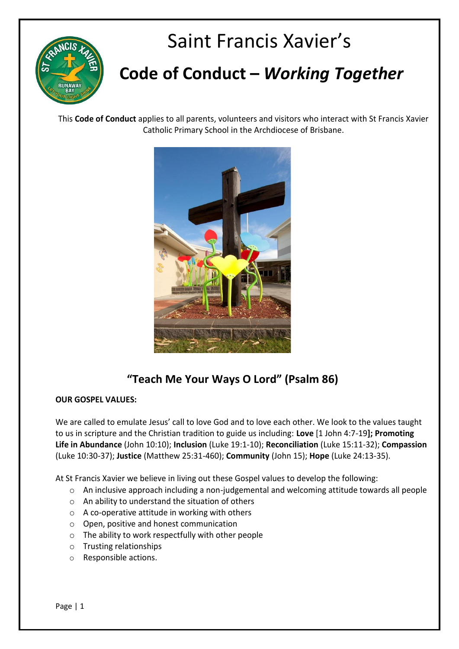

# Saint Francis Xavier's

## **Code of Conduct –** *Working Together*

This **Code of Conduct** applies to all parents, volunteers and visitors who interact with St Francis Xavier Catholic Primary School in the Archdiocese of Brisbane.



### **"Teach Me Your Ways O Lord" (Psalm 86)**

#### **OUR GOSPEL VALUES:**

We are called to emulate Jesus' call to love God and to love each other. We look to the values taught to us in scripture and the Christian tradition to guide us including: **Love** [1 John 4:7-19**]; Promoting Life in Abundance** (John 10:10); **Inclusion** (Luke 19:1-10); **Reconciliation** (Luke 15:11-32); **Compassion** (Luke 10:30-37); **Justice** (Matthew 25:31-460); **Community** (John 15); **Hope** (Luke 24:13-35).

At St Francis Xavier we believe in living out these Gospel values to develop the following:

- o An inclusive approach including a non-judgemental and welcoming attitude towards all people
- o An ability to understand the situation of others
- o A co-operative attitude in working with others
- o Open, positive and honest communication
- o The ability to work respectfully with other people
- o Trusting relationships
- o Responsible actions.